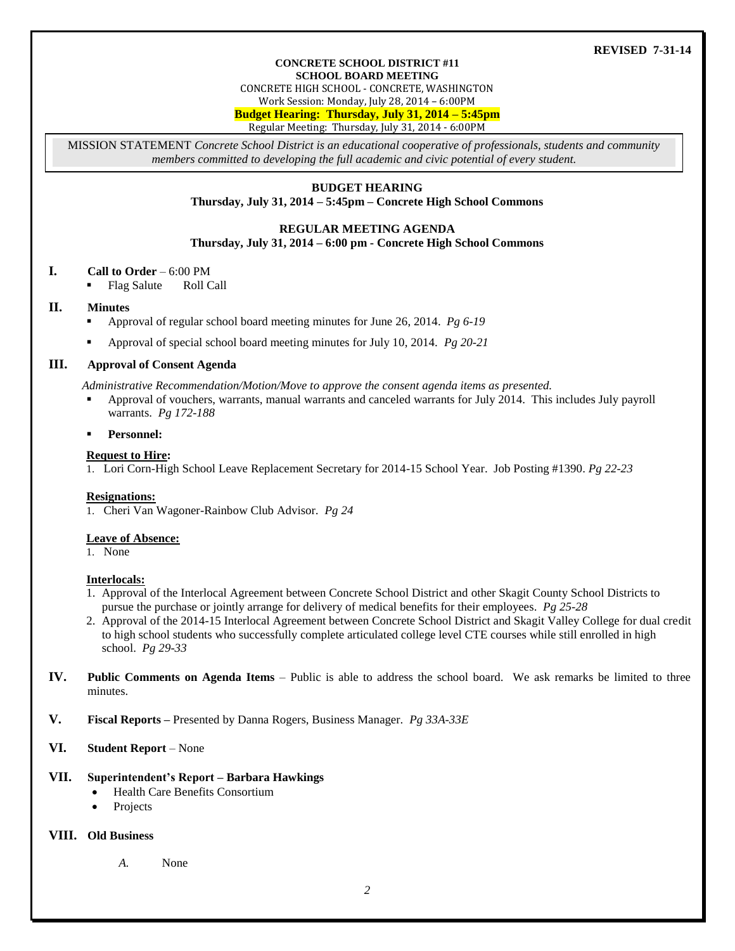#### **CONCRETE SCHOOL DISTRICT #11 SCHOOL BOARD MEETING**

CONCRETE HIGH SCHOOL - CONCRETE, WASHINGTON

Work Session: Monday, July 28, 2014 – 6:00PM

**Budget Hearing: Thursday, July 31, 2014 – 5:45pm**

Regular Meeting: Thursday, July 31, 2014 - 6:00PM

MISSION STATEMENT *Concrete School District is an educational cooperative of professionals, students and community members committed to developing the full academic and civic potential of every student.*

## **BUDGET HEARING**

**Thursday, July 31, 2014 – 5:45pm – Concrete High School Commons**

#### **REGULAR MEETING AGENDA**

**Thursday, July 31, 2014 – 6:00 pm - Concrete High School Commons**

#### **I. Call to Order** – 6:00 PM

Flag Salute Roll Call

### **II. Minutes**

- Approval of regular school board meeting minutes for June 26, 2014. *Pg 6-19*
- Approval of special school board meeting minutes for July 10, 2014. *Pg 20-21*

### **III. Approval of Consent Agenda**

*Administrative Recommendation/Motion/Move to approve the consent agenda items as presented.*

- Approval of vouchers, warrants, manual warrants and canceled warrants for July 2014. This includes July payroll warrants. *Pg 172-188*
- **Personnel:**

#### **Request to Hire:**

1. Lori Corn-High School Leave Replacement Secretary for 2014-15 School Year. Job Posting #1390. *Pg 22-23*

#### **Resignations:**

1. Cheri Van Wagoner-Rainbow Club Advisor*. Pg 24*

#### **Leave of Absence:**

1. None

#### **Interlocals:**

- 1. Approval of the Interlocal Agreement between Concrete School District and other Skagit County School Districts to pursue the purchase or jointly arrange for delivery of medical benefits for their employees. *Pg 25-28*
- 2. Approval of the 2014-15 Interlocal Agreement between Concrete School District and Skagit Valley College for dual credit to high school students who successfully complete articulated college level CTE courses while still enrolled in high school. *Pg 29-33*
- **IV. Public Comments on Agenda Items** Public is able to address the school board. We ask remarks be limited to three minutes.
- **V. Fiscal Reports –** Presented by Danna Rogers, Business Manager. *Pg 33A-33E*
- **VI. Student Report** None

# **VII. Superintendent's Report – Barbara Hawkings**

- Health Care Benefits Consortium
- Projects

# **VIII. Old Business**

*A.* None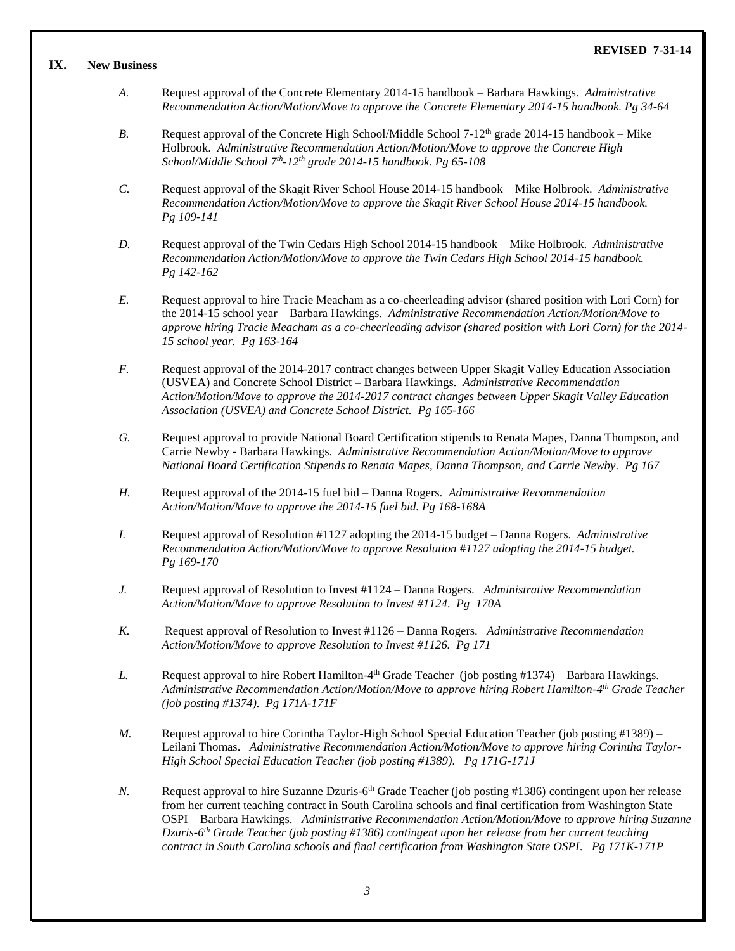#### **IX. New Business**

- *A.* Request approval of the Concrete Elementary 2014-15 handbook Barbara Hawkings. *Administrative Recommendation Action/Motion/Move to approve the Concrete Elementary 2014-15 handbook. Pg 34-64*
- *B.* Request approval of the Concrete High School/Middle School  $7-12<sup>th</sup>$  grade 2014-15 handbook Mike Holbrook. *Administrative Recommendation Action/Motion/Move to approve the Concrete High School/Middle School 7th -12th grade 2014-15 handbook. Pg 65-108*
- *C.* Request approval of the Skagit River School House 2014-15 handbook Mike Holbrook. *Administrative Recommendation Action/Motion/Move to approve the Skagit River School House 2014-15 handbook. Pg 109-141*
- *D.* Request approval of the Twin Cedars High School 2014-15 handbook Mike Holbrook. *Administrative Recommendation Action/Motion/Move to approve the Twin Cedars High School 2014-15 handbook. Pg 142-162*
- *E.* Request approval to hire Tracie Meacham as a co-cheerleading advisor (shared position with Lori Corn) for the 2014-15 school year – Barbara Hawkings. *Administrative Recommendation Action/Motion/Move to approve hiring Tracie Meacham as a co-cheerleading advisor (shared position with Lori Corn) for the 2014- 15 school year. Pg 163-164*
- *F.* Request approval of the 2014-2017 contract changes between Upper Skagit Valley Education Association (USVEA) and Concrete School District – Barbara Hawkings. *Administrative Recommendation Action/Motion/Move to approve the 2014-2017 contract changes between Upper Skagit Valley Education Association (USVEA) and Concrete School District. Pg 165-166*
- *G.* Request approval to provide National Board Certification stipends to Renata Mapes, Danna Thompson, and Carrie Newby - Barbara Hawkings. *Administrative Recommendation Action/Motion/Move to approve National Board Certification Stipends to Renata Mapes, Danna Thompson, and Carrie Newby. Pg 167*
- *H.* Request approval of the 2014-15 fuel bid Danna Rogers. *Administrative Recommendation Action/Motion/Move to approve the 2014-15 fuel bid. Pg 168-168A*
- *I.* Request approval of Resolution #1127 adopting the 2014-15 budget Danna Rogers. *Administrative Recommendation Action/Motion/Move to approve Resolution* #*1127 adopting the 2014-15 budget. Pg 169-170*
- *J.* Request approval of Resolution to Invest #1124 Danna Rogers. *Administrative Recommendation Action/Motion/Move to approve Resolution to Invest #1124. Pg 170A*
- *K.* Request approval of Resolution to Invest #1126 Danna Rogers. *Administrative Recommendation Action/Motion/Move to approve Resolution to Invest #1126. Pg 171*
- L. Request approval to hire Robert Hamilton-4<sup>th</sup> Grade Teacher (job posting #1374) Barbara Hawkings. *Administrative Recommendation Action/Motion/Move to approve hiring Robert Hamilton-4 th Grade Teacher (job posting #1374). Pg 171A-171F*
- *M.* Request approval to hire Corintha Taylor-High School Special Education Teacher (job posting #1389) Leilani Thomas. *Administrative Recommendation Action/Motion/Move to approve hiring Corintha Taylor-High School Special Education Teacher (job posting #1389). Pg 171G-171J*
- N. Request approval to hire Suzanne Dzuris-6<sup>th</sup> Grade Teacher (job posting #1386) contingent upon her release from her current teaching contract in South Carolina schools and final certification from Washington State OSPI – Barbara Hawkings. *Administrative Recommendation Action/Motion/Move to approve hiring Suzanne Dzuris-6 th Grade Teacher (job posting #1386) contingent upon her release from her current teaching contract in South Carolina schools and final certification from Washington State OSPI. Pg 171K-171P*